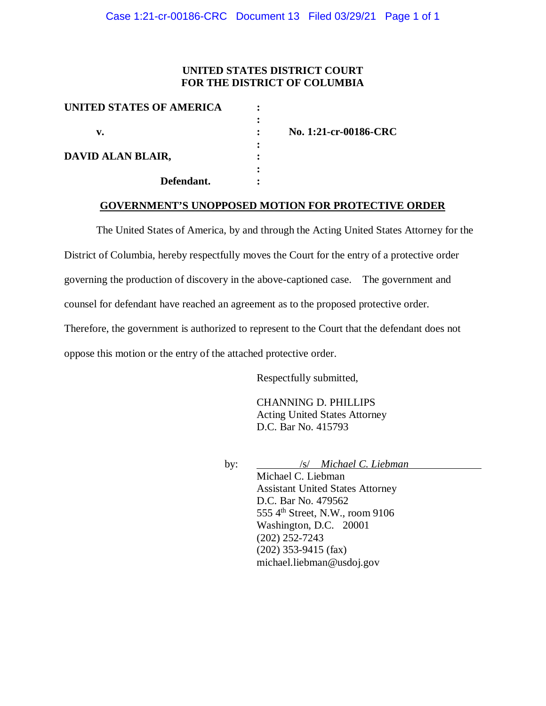## **UNITED STATES DISTRICT COURT FOR THE DISTRICT OF COLUMBIA**

| UNITED STATES OF AMERICA |                       |
|--------------------------|-----------------------|
|                          |                       |
| v.                       | No. 1:21-cr-00186-CRC |
|                          |                       |
| DAVID ALAN BLAIR,        |                       |
|                          |                       |
| Defendant.               |                       |

## **GOVERNMENT'S UNOPPOSED MOTION FOR PROTECTIVE ORDER**

The United States of America, by and through the Acting United States Attorney for the

District of Columbia, hereby respectfully moves the Court for the entry of a protective order

governing the production of discovery in the above-captioned case. The government and

counsel for defendant have reached an agreement as to the proposed protective order.

Therefore, the government is authorized to represent to the Court that the defendant does not

oppose this motion or the entry of the attached protective order.

Respectfully submitted,

CHANNING D. PHILLIPS Acting United States Attorney D.C. Bar No. 415793

by: /s/ *Michael C. Liebman*

Michael C. Liebman Assistant United States Attorney D.C. Bar No. 479562 555 4<sup>th</sup> Street, N.W., room 9106 Washington, D.C. 20001 (202) 252-7243 (202) 353-9415 (fax) michael.liebman@usdoj.gov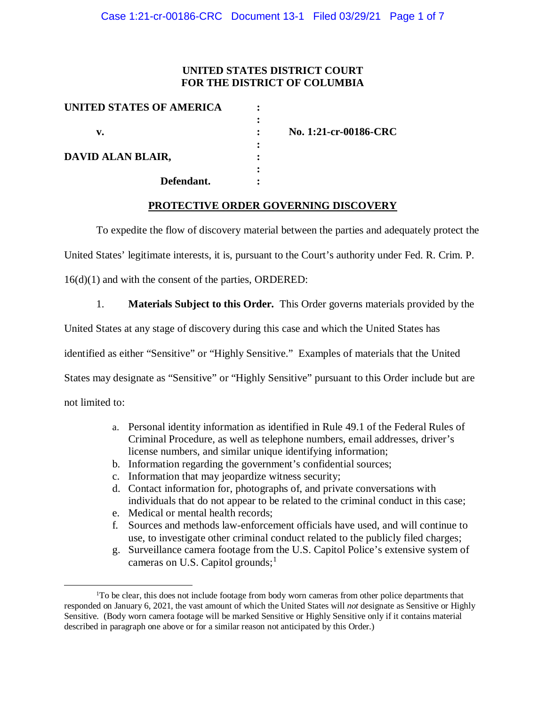## **UNITED STATES DISTRICT COURT FOR THE DISTRICT OF COLUMBIA**

| No. 1:21-cr-00186-CRC |
|-----------------------|
|                       |
|                       |
|                       |
|                       |
|                       |

## **PROTECTIVE ORDER GOVERNING DISCOVERY**

To expedite the flow of discovery material between the parties and adequately protect the

United States' legitimate interests, it is, pursuant to the Court's authority under Fed. R. Crim. P.

16(d)(1) and with the consent of the parties, ORDERED:

1. **Materials Subject to this Order.** This Order governs materials provided by the

United States at any stage of discovery during this case and which the United States has

identified as either "Sensitive" or "Highly Sensitive." Examples of materials that the United

States may designate as "Sensitive" or "Highly Sensitive" pursuant to this Order include but are

not limited to:

- a. Personal identity information as identified in Rule 49.1 of the Federal Rules of Criminal Procedure, as well as telephone numbers, email addresses, driver's license numbers, and similar unique identifying information;
- b. Information regarding the government's confidential sources;
- c. Information that may jeopardize witness security;
- d. Contact information for, photographs of, and private conversations with individuals that do not appear to be related to the criminal conduct in this case;
- e. Medical or mental health records;
- f. Sources and methods law-enforcement officials have used, and will continue to use, to investigate other criminal conduct related to the publicly filed charges;
- g. Surveillance camera footage from the U.S. Capitol Police's extensive system of cameras on U.S. Capitol grounds;<sup>1</sup>

 $\frac{1}{1}$  ${}^{1}$ To be clear, this does not include footage from body worn cameras from other police departments that responded on January 6, 2021, the vast amount of which the United States will *not* designate as Sensitive or Highly Sensitive. (Body worn camera footage will be marked Sensitive or Highly Sensitive only if it contains material described in paragraph one above or for a similar reason not anticipated by this Order.)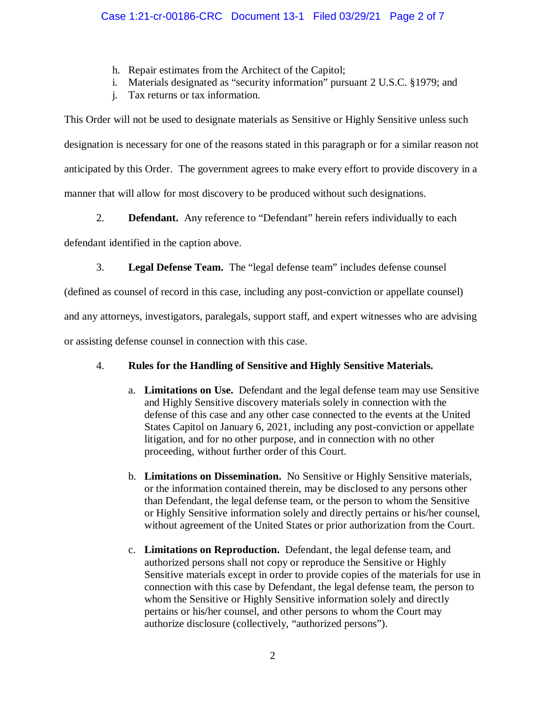- h. Repair estimates from the Architect of the Capitol;
- i. Materials designated as "security information" pursuant 2 U.S.C. §1979; and
- j. Tax returns or tax information.

This Order will not be used to designate materials as Sensitive or Highly Sensitive unless such designation is necessary for one of the reasons stated in this paragraph or for a similar reason not anticipated by this Order. The government agrees to make every effort to provide discovery in a manner that will allow for most discovery to be produced without such designations.

2. **Defendant.** Any reference to "Defendant" herein refers individually to each

defendant identified in the caption above.

3. **Legal Defense Team.** The "legal defense team" includes defense counsel

(defined as counsel of record in this case, including any post-conviction or appellate counsel)

and any attorneys, investigators, paralegals, support staff, and expert witnesses who are advising

or assisting defense counsel in connection with this case.

# 4. **Rules for the Handling of Sensitive and Highly Sensitive Materials.**

- a. **Limitations on Use.** Defendant and the legal defense team may use Sensitive and Highly Sensitive discovery materials solely in connection with the defense of this case and any other case connected to the events at the United States Capitol on January 6, 2021, including any post-conviction or appellate litigation, and for no other purpose, and in connection with no other proceeding, without further order of this Court.
- b. **Limitations on Dissemination.** No Sensitive or Highly Sensitive materials, or the information contained therein, may be disclosed to any persons other than Defendant, the legal defense team, or the person to whom the Sensitive or Highly Sensitive information solely and directly pertains or his/her counsel, without agreement of the United States or prior authorization from the Court.
- c. **Limitations on Reproduction.** Defendant, the legal defense team, and authorized persons shall not copy or reproduce the Sensitive or Highly Sensitive materials except in order to provide copies of the materials for use in connection with this case by Defendant, the legal defense team, the person to whom the Sensitive or Highly Sensitive information solely and directly pertains or his/her counsel, and other persons to whom the Court may authorize disclosure (collectively, "authorized persons").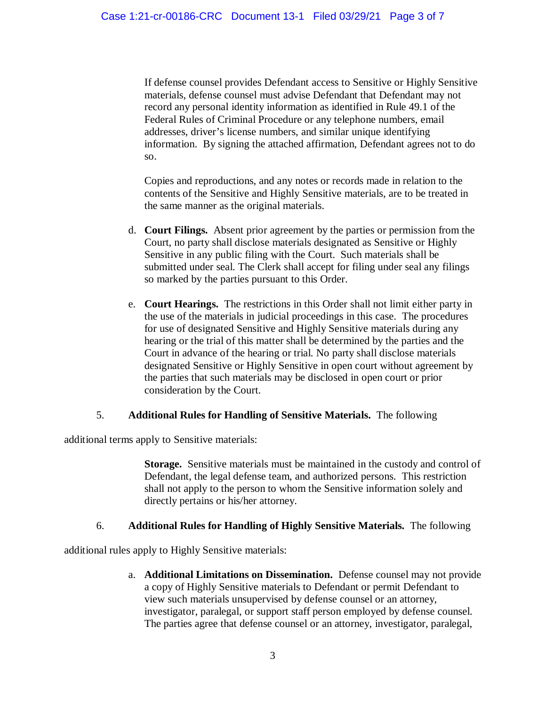If defense counsel provides Defendant access to Sensitive or Highly Sensitive materials, defense counsel must advise Defendant that Defendant may not record any personal identity information as identified in Rule 49.1 of the Federal Rules of Criminal Procedure or any telephone numbers, email addresses, driver's license numbers, and similar unique identifying information. By signing the attached affirmation, Defendant agrees not to do so.

Copies and reproductions, and any notes or records made in relation to the contents of the Sensitive and Highly Sensitive materials, are to be treated in the same manner as the original materials.

- d. **Court Filings.** Absent prior agreement by the parties or permission from the Court, no party shall disclose materials designated as Sensitive or Highly Sensitive in any public filing with the Court. Such materials shall be submitted under seal. The Clerk shall accept for filing under seal any filings so marked by the parties pursuant to this Order.
- e. **Court Hearings.** The restrictions in this Order shall not limit either party in the use of the materials in judicial proceedings in this case. The procedures for use of designated Sensitive and Highly Sensitive materials during any hearing or the trial of this matter shall be determined by the parties and the Court in advance of the hearing or trial. No party shall disclose materials designated Sensitive or Highly Sensitive in open court without agreement by the parties that such materials may be disclosed in open court or prior consideration by the Court.

## 5. **Additional Rules for Handling of Sensitive Materials.** The following

additional terms apply to Sensitive materials:

**Storage.** Sensitive materials must be maintained in the custody and control of Defendant, the legal defense team, and authorized persons. This restriction shall not apply to the person to whom the Sensitive information solely and directly pertains or his/her attorney.

# 6. **Additional Rules for Handling of Highly Sensitive Materials.** The following

additional rules apply to Highly Sensitive materials:

a. **Additional Limitations on Dissemination.** Defense counsel may not provide a copy of Highly Sensitive materials to Defendant or permit Defendant to view such materials unsupervised by defense counsel or an attorney, investigator, paralegal, or support staff person employed by defense counsel. The parties agree that defense counsel or an attorney, investigator, paralegal,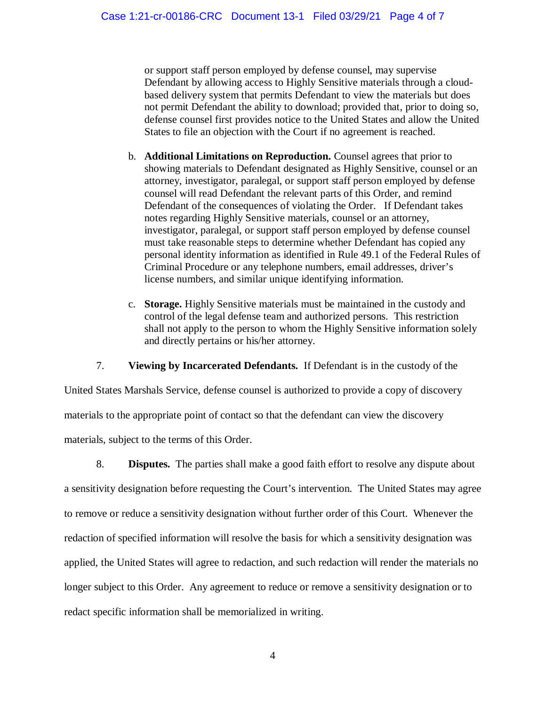or support staff person employed by defense counsel, may supervise Defendant by allowing access to Highly Sensitive materials through a cloudbased delivery system that permits Defendant to view the materials but does not permit Defendant the ability to download; provided that, prior to doing so, defense counsel first provides notice to the United States and allow the United States to file an objection with the Court if no agreement is reached.

- b. **Additional Limitations on Reproduction.** Counsel agrees that prior to showing materials to Defendant designated as Highly Sensitive, counsel or an attorney, investigator, paralegal, or support staff person employed by defense counsel will read Defendant the relevant parts of this Order, and remind Defendant of the consequences of violating the Order. If Defendant takes notes regarding Highly Sensitive materials, counsel or an attorney, investigator, paralegal, or support staff person employed by defense counsel must take reasonable steps to determine whether Defendant has copied any personal identity information as identified in Rule 49.1 of the Federal Rules of Criminal Procedure or any telephone numbers, email addresses, driver's license numbers, and similar unique identifying information.
- c. **Storage.** Highly Sensitive materials must be maintained in the custody and control of the legal defense team and authorized persons. This restriction shall not apply to the person to whom the Highly Sensitive information solely and directly pertains or his/her attorney.

7. **Viewing by Incarcerated Defendants.** If Defendant is in the custody of the

United States Marshals Service, defense counsel is authorized to provide a copy of discovery materials to the appropriate point of contact so that the defendant can view the discovery materials, subject to the terms of this Order.

8. **Disputes.** The parties shall make a good faith effort to resolve any dispute about a sensitivity designation before requesting the Court's intervention. The United States may agree to remove or reduce a sensitivity designation without further order of this Court. Whenever the redaction of specified information will resolve the basis for which a sensitivity designation was applied, the United States will agree to redaction, and such redaction will render the materials no longer subject to this Order. Any agreement to reduce or remove a sensitivity designation or to redact specific information shall be memorialized in writing.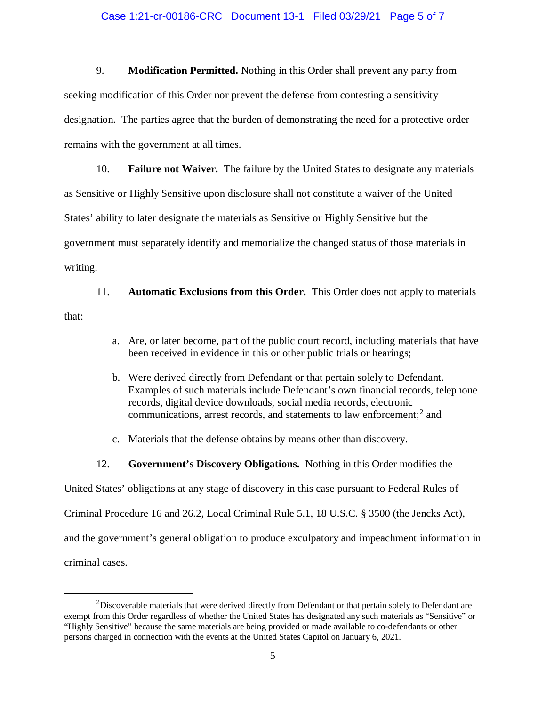#### Case 1:21-cr-00186-CRC Document 13-1 Filed 03/29/21 Page 5 of 7

9. **Modification Permitted.** Nothing in this Order shall prevent any party from seeking modification of this Order nor prevent the defense from contesting a sensitivity designation. The parties agree that the burden of demonstrating the need for a protective order remains with the government at all times.

10. **Failure not Waiver.** The failure by the United States to designate any materials as Sensitive or Highly Sensitive upon disclosure shall not constitute a waiver of the United States' ability to later designate the materials as Sensitive or Highly Sensitive but the government must separately identify and memorialize the changed status of those materials in writing.

11. **Automatic Exclusions from this Order.** This Order does not apply to materials that:

- a. Are, or later become, part of the public court record, including materials that have been received in evidence in this or other public trials or hearings;
- b. Were derived directly from Defendant or that pertain solely to Defendant. Examples of such materials include Defendant's own financial records, telephone records, digital device downloads, social media records, electronic communications, arrest records, and statements to law enforcement; <sup>2</sup> and
- c. Materials that the defense obtains by means other than discovery.
- 12. **Government's Discovery Obligations.** Nothing in this Order modifies the

United States' obligations at any stage of discovery in this case pursuant to Federal Rules of

Criminal Procedure 16 and 26.2, Local Criminal Rule 5.1, 18 U.S.C. § 3500 (the Jencks Act),

and the government's general obligation to produce exculpatory and impeachment information in

criminal cases.

 $\overline{\phantom{2}}$ <sup>2</sup>Discoverable materials that were derived directly from Defendant or that pertain solely to Defendant are exempt from this Order regardless of whether the United States has designated any such materials as "Sensitive" or "Highly Sensitive" because the same materials are being provided or made available to co-defendants or other persons charged in connection with the events at the United States Capitol on January 6, 2021.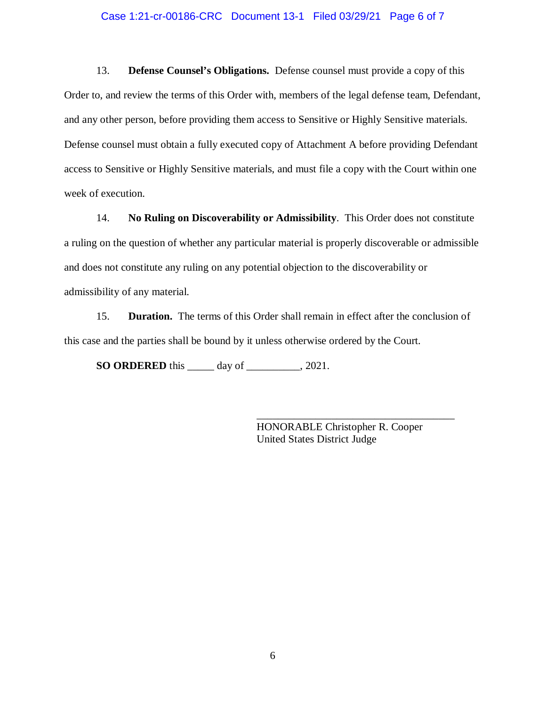#### Case 1:21-cr-00186-CRC Document 13-1 Filed 03/29/21 Page 6 of 7

13. **Defense Counsel's Obligations.** Defense counsel must provide a copy of this Order to, and review the terms of this Order with, members of the legal defense team, Defendant, and any other person, before providing them access to Sensitive or Highly Sensitive materials. Defense counsel must obtain a fully executed copy of Attachment A before providing Defendant access to Sensitive or Highly Sensitive materials, and must file a copy with the Court within one week of execution.

14. **No Ruling on Discoverability or Admissibility**. This Order does not constitute a ruling on the question of whether any particular material is properly discoverable or admissible and does not constitute any ruling on any potential objection to the discoverability or admissibility of any material.

15. **Duration.** The terms of this Order shall remain in effect after the conclusion of this case and the parties shall be bound by it unless otherwise ordered by the Court.

**SO ORDERED** this \_\_\_\_\_\_ day of \_\_\_\_\_\_\_\_, 2021.

HONORABLE Christopher R. Cooper United States District Judge

\_\_\_\_\_\_\_\_\_\_\_\_\_\_\_\_\_\_\_\_\_\_\_\_\_\_\_\_\_\_\_\_\_\_\_\_\_